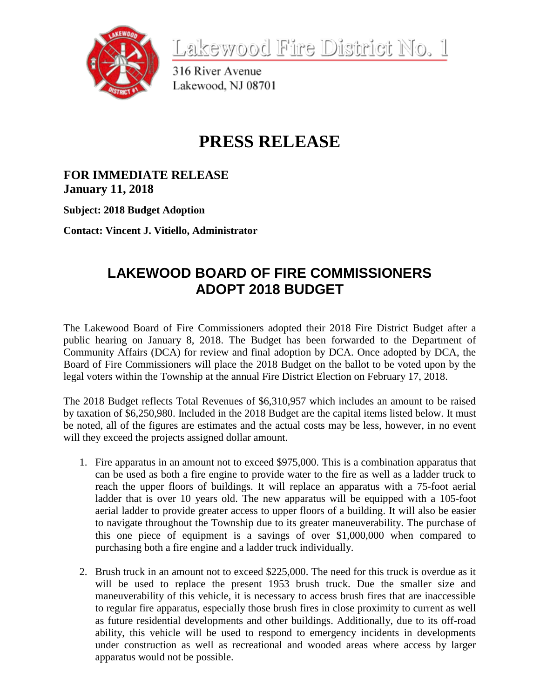

Lakewood Fire District No. 1

316 River Avenue Lakewood, NJ 08701

## **PRESS RELEASE**

**FOR IMMEDIATE RELEASE January 11, 2018**

**Subject: 2018 Budget Adoption**

**Contact: Vincent J. Vitiello, Administrator**

## **LAKEWOOD BOARD OF FIRE COMMISSIONERS ADOPT 2018 BUDGET**

The Lakewood Board of Fire Commissioners adopted their 2018 Fire District Budget after a public hearing on January 8, 2018. The Budget has been forwarded to the Department of Community Affairs (DCA) for review and final adoption by DCA. Once adopted by DCA, the Board of Fire Commissioners will place the 2018 Budget on the ballot to be voted upon by the legal voters within the Township at the annual Fire District Election on February 17, 2018.

The 2018 Budget reflects Total Revenues of \$6,310,957 which includes an amount to be raised by taxation of \$6,250,980. Included in the 2018 Budget are the capital items listed below. It must be noted, all of the figures are estimates and the actual costs may be less, however, in no event will they exceed the projects assigned dollar amount.

- 1. Fire apparatus in an amount not to exceed \$975,000. This is a combination apparatus that can be used as both a fire engine to provide water to the fire as well as a ladder truck to reach the upper floors of buildings. It will replace an apparatus with a 75-foot aerial ladder that is over 10 years old. The new apparatus will be equipped with a 105-foot aerial ladder to provide greater access to upper floors of a building. It will also be easier to navigate throughout the Township due to its greater maneuverability. The purchase of this one piece of equipment is a savings of over \$1,000,000 when compared to purchasing both a fire engine and a ladder truck individually.
- 2. Brush truck in an amount not to exceed \$225,000. The need for this truck is overdue as it will be used to replace the present 1953 brush truck. Due the smaller size and maneuverability of this vehicle, it is necessary to access brush fires that are inaccessible to regular fire apparatus, especially those brush fires in close proximity to current as well as future residential developments and other buildings. Additionally, due to its off-road ability, this vehicle will be used to respond to emergency incidents in developments under construction as well as recreational and wooded areas where access by larger apparatus would not be possible.